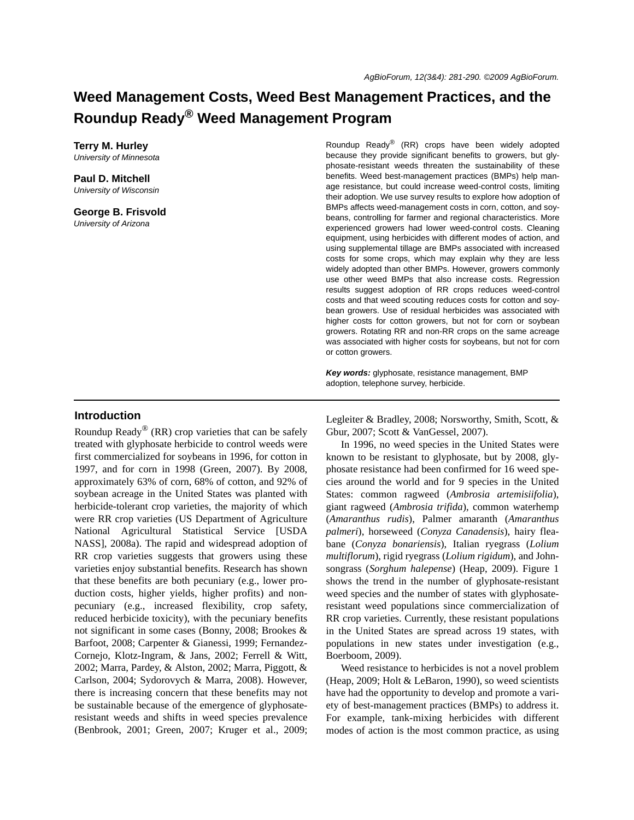# **Weed Management Costs, Weed Best Management Practices, and the Roundup Ready® Weed Management Program**

**Terry M. Hurley** *University of Minnesota*

**Paul D. Mitchell** *University of Wisconsin*

**George B. Frisvold** *University of Arizona*

Roundup Ready® (RR) crops have been widely adopted because they provide significant benefits to growers, but glyphosate-resistant weeds threaten the sustainability of these benefits. Weed best-management practices (BMPs) help manage resistance, but could increase weed-control costs, limiting their adoption. We use survey results to explore how adoption of BMPs affects weed-management costs in corn, cotton, and soybeans, controlling for farmer and regional characteristics. More experienced growers had lower weed-control costs. Cleaning equipment, using herbicides with different modes of action, and using supplemental tillage are BMPs associated with increased costs for some crops, which may explain why they are less widely adopted than other BMPs. However, growers commonly use other weed BMPs that also increase costs. Regression results suggest adoption of RR crops reduces weed-control costs and that weed scouting reduces costs for cotton and soybean growers. Use of residual herbicides was associated with higher costs for cotton growers, but not for corn or soybean growers. Rotating RR and non-RR crops on the same acreage was associated with higher costs for soybeans, but not for corn or cotton growers.

*Key words:* glyphosate, resistance management, BMP adoption, telephone survey, herbicide.

## **Introduction**

Roundup Ready<sup>®</sup> (RR) crop varieties that can be safely treated with glyphosate herbicide to control weeds were first commercialized for soybeans in 1996, for cotton in 1997, and for corn in 1998 (Green, 2007). By 2008, approximately 63% of corn, 68% of cotton, and 92% of soybean acreage in the United States was planted with herbicide-tolerant crop varieties, the majority of which were RR crop varieties (US Department of Agriculture National Agricultural Statistical Service [USDA NASS], 2008a). The rapid and widespread adoption of RR crop varieties suggests that growers using these varieties enjoy substantial benefits. Research has shown that these benefits are both pecuniary (e.g., lower production costs, higher yields, higher profits) and nonpecuniary (e.g., increased flexibility, crop safety, reduced herbicide toxicity), with the pecuniary benefits not significant in some cases (Bonny, 2008; Brookes & Barfoot, 2008; Carpenter & Gianessi, 1999; Fernandez-Cornejo, Klotz-Ingram, & Jans, 2002; Ferrell & Witt, 2002; Marra, Pardey, & Alston, 2002; Marra, Piggott, & Carlson, 2004; Sydorovych & Marra, 2008). However, there is increasing concern that these benefits may not be sustainable because of the emergence of glyphosateresistant weeds and shifts in weed species prevalence (Benbrook, 2001; Green, 2007; Kruger et al., 2009;

Legleiter & Bradley, 2008; Norsworthy, Smith, Scott, & Gbur, 2007; Scott & VanGessel, 2007).

In 1996, no weed species in the United States were known to be resistant to glyphosate, but by 2008, glyphosate resistance had been confirmed for 16 weed species around the world and for 9 species in the United States: common ragweed (*Ambrosia artemisiifolia*), giant ragweed (*Ambrosia trifida*), common waterhemp (*Amaranthus rudis*), Palmer amaranth (*Amaranthus palmeri*), horseweed (*Conyza Canadensis*), hairy fleabane (*Conyza bonariensis*), Italian ryegrass (*Lolium multiflorum*), rigid ryegrass (*Lolium rigidum*), and Johnsongrass (*Sorghum halepense*) (Heap, 2009). Figure 1 shows the trend in the number of glyphosate-resistant weed species and the number of states with glyphosateresistant weed populations since commercialization of RR crop varieties. Currently, these resistant populations in the United States are spread across 19 states, with populations in new states under investigation (e.g., Boerboom, 2009).

Weed resistance to herbicides is not a novel problem (Heap, 2009; Holt & LeBaron, 1990), so weed scientists have had the opportunity to develop and promote a variety of best-management practices (BMPs) to address it. For example, tank-mixing herbicides with different modes of action is the most common practice, as using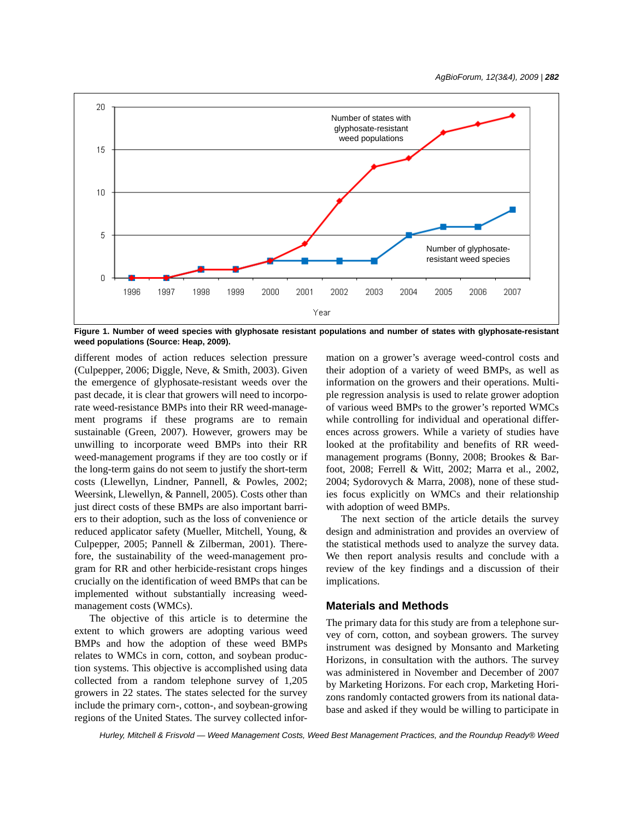

**Figure 1. Number of weed species with glyphosate resistant populations and number of states with glyphosate-resistant weed populations (Source: Heap, 2009).**

different modes of action reduces selection pressure (Culpepper, 2006; Diggle, Neve, & Smith, 2003). Given the emergence of glyphosate-resistant weeds over the past decade, it is clear that growers will need to incorporate weed-resistance BMPs into their RR weed-management programs if these programs are to remain sustainable (Green, 2007). However, growers may be unwilling to incorporate weed BMPs into their RR weed-management programs if they are too costly or if the long-term gains do not seem to justify the short-term costs (Llewellyn, Lindner, Pannell, & Powles, 2002; Weersink, Llewellyn, & Pannell, 2005). Costs other than just direct costs of these BMPs are also important barriers to their adoption, such as the loss of convenience or reduced applicator safety (Mueller, Mitchell, Young, & Culpepper, 2005; Pannell & Zilberman, 2001). Therefore, the sustainability of the weed-management program for RR and other herbicide-resistant crops hinges crucially on the identification of weed BMPs that can be implemented without substantially increasing weedmanagement costs (WMCs).

The objective of this article is to determine the extent to which growers are adopting various weed BMPs and how the adoption of these weed BMPs relates to WMCs in corn, cotton, and soybean production systems. This objective is accomplished using data collected from a random telephone survey of 1,205 growers in 22 states. The states selected for the survey include the primary corn-, cotton-, and soybean-growing regions of the United States. The survey collected information on a grower's average weed-control costs and their adoption of a variety of weed BMPs, as well as information on the growers and their operations. Multiple regression analysis is used to relate grower adoption of various weed BMPs to the grower's reported WMCs while controlling for individual and operational differences across growers. While a variety of studies have looked at the profitability and benefits of RR weedmanagement programs (Bonny, 2008; Brookes & Barfoot, 2008; Ferrell & Witt, 2002; Marra et al., 2002, 2004; Sydorovych & Marra, 2008), none of these studies focus explicitly on WMCs and their relationship with adoption of weed BMPs.

The next section of the article details the survey design and administration and provides an overview of the statistical methods used to analyze the survey data. We then report analysis results and conclude with a review of the key findings and a discussion of their implications.

## **Materials and Methods**

The primary data for this study are from a telephone survey of corn, cotton, and soybean growers. The survey instrument was designed by Monsanto and Marketing Horizons, in consultation with the authors. The survey was administered in November and December of 2007 by Marketing Horizons. For each crop, Marketing Horizons randomly contacted growers from its national database and asked if they would be willing to participate in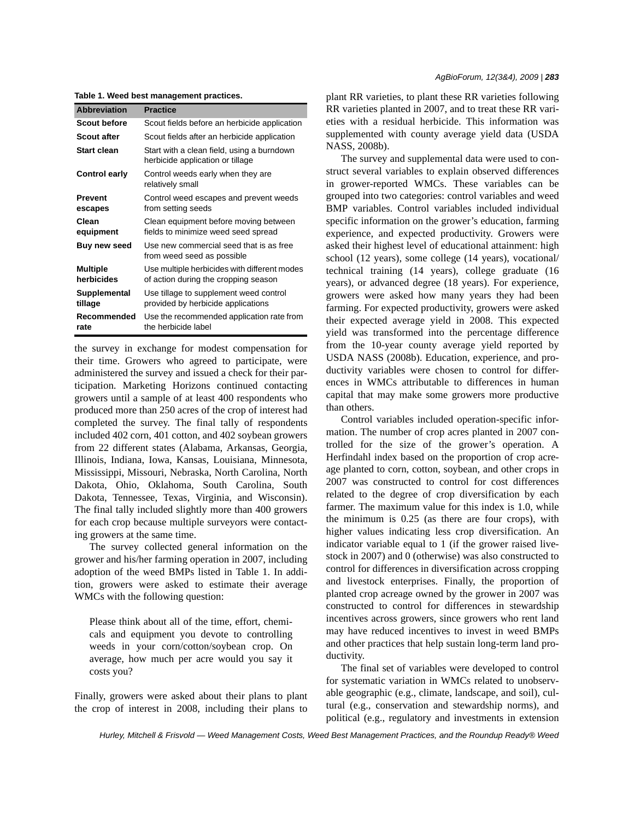**Table 1. Weed best management practices.**

| <b>Abbreviation</b>           | <b>Practice</b>                                                                      |
|-------------------------------|--------------------------------------------------------------------------------------|
| Scout before                  | Scout fields before an herbicide application                                         |
| <b>Scout after</b>            | Scout fields after an herbicide application                                          |
| Start clean                   | Start with a clean field, using a burndown<br>herbicide application or tillage       |
| <b>Control early</b>          | Control weeds early when they are<br>relatively small                                |
| <b>Prevent</b><br>escapes     | Control weed escapes and prevent weeds<br>from setting seeds                         |
| Clean<br>equipment            | Clean equipment before moving between<br>fields to minimize weed seed spread         |
| <b>Buy new seed</b>           | Use new commercial seed that is as free<br>from weed seed as possible                |
| <b>Multiple</b><br>herbicides | Use multiple herbicides with different modes<br>of action during the cropping season |
| Supplemental<br>tillage       | Use tillage to supplement weed control<br>provided by herbicide applications         |
| Recommended<br>rate           | Use the recommended application rate from<br>the herbicide label                     |

the survey in exchange for modest compensation for their time. Growers who agreed to participate, were administered the survey and issued a check for their participation. Marketing Horizons continued contacting growers until a sample of at least 400 respondents who produced more than 250 acres of the crop of interest had completed the survey. The final tally of respondents included 402 corn, 401 cotton, and 402 soybean growers from 22 different states (Alabama, Arkansas, Georgia, Illinois, Indiana, Iowa, Kansas, Louisiana, Minnesota, Mississippi, Missouri, Nebraska, North Carolina, North Dakota, Ohio, Oklahoma, South Carolina, South Dakota, Tennessee, Texas, Virginia, and Wisconsin). The final tally included slightly more than 400 growers for each crop because multiple surveyors were contacting growers at the same time.

The survey collected general information on the grower and his/her farming operation in 2007, including adoption of the weed BMPs listed in Table 1. In addition, growers were asked to estimate their average WMCs with the following question:

Please think about all of the time, effort, chemicals and equipment you devote to controlling weeds in your corn/cotton/soybean crop. On average, how much per acre would you say it costs you?

Finally, growers were asked about their plans to plant the crop of interest in 2008, including their plans to plant RR varieties, to plant these RR varieties following RR varieties planted in 2007, and to treat these RR varieties with a residual herbicide. This information was supplemented with county average yield data (USDA NASS, 2008b).

The survey and supplemental data were used to construct several variables to explain observed differences in grower-reported WMCs. These variables can be grouped into two categories: control variables and weed BMP variables. Control variables included individual specific information on the grower's education, farming experience, and expected productivity. Growers were asked their highest level of educational attainment: high school (12 years), some college (14 years), vocational/ technical training (14 years), college graduate (16 years), or advanced degree (18 years). For experience, growers were asked how many years they had been farming. For expected productivity, growers were asked their expected average yield in 2008. This expected yield was transformed into the percentage difference from the 10-year county average yield reported by USDA NASS (2008b). Education, experience, and productivity variables were chosen to control for differences in WMCs attributable to differences in human capital that may make some growers more productive than others.

Control variables included operation-specific information. The number of crop acres planted in 2007 controlled for the size of the grower's operation. A Herfindahl index based on the proportion of crop acreage planted to corn, cotton, soybean, and other crops in 2007 was constructed to control for cost differences related to the degree of crop diversification by each farmer. The maximum value for this index is 1.0, while the minimum is 0.25 (as there are four crops), with higher values indicating less crop diversification. An indicator variable equal to 1 (if the grower raised livestock in 2007) and 0 (otherwise) was also constructed to control for differences in diversification across cropping and livestock enterprises. Finally, the proportion of planted crop acreage owned by the grower in 2007 was constructed to control for differences in stewardship incentives across growers, since growers who rent land may have reduced incentives to invest in weed BMPs and other practices that help sustain long-term land productivity.

The final set of variables were developed to control for systematic variation in WMCs related to unobservable geographic (e.g., climate, landscape, and soil), cultural (e.g., conservation and stewardship norms), and political (e.g., regulatory and investments in extension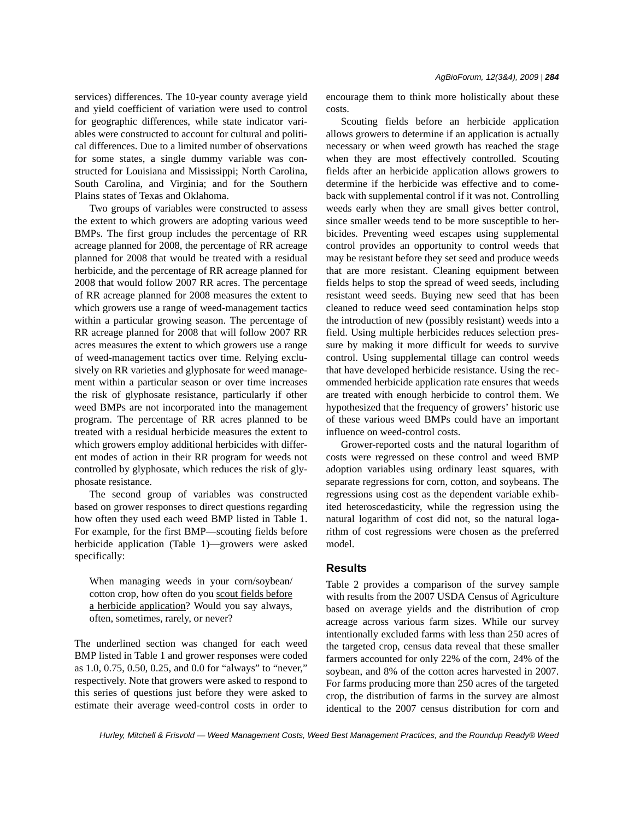services) differences. The 10-year county average yield and yield coefficient of variation were used to control for geographic differences, while state indicator variables were constructed to account for cultural and political differences. Due to a limited number of observations for some states, a single dummy variable was constructed for Louisiana and Mississippi; North Carolina, South Carolina, and Virginia; and for the Southern Plains states of Texas and Oklahoma.

Two groups of variables were constructed to assess the extent to which growers are adopting various weed BMPs. The first group includes the percentage of RR acreage planned for 2008, the percentage of RR acreage planned for 2008 that would be treated with a residual herbicide, and the percentage of RR acreage planned for 2008 that would follow 2007 RR acres. The percentage of RR acreage planned for 2008 measures the extent to which growers use a range of weed-management tactics within a particular growing season. The percentage of RR acreage planned for 2008 that will follow 2007 RR acres measures the extent to which growers use a range of weed-management tactics over time. Relying exclusively on RR varieties and glyphosate for weed management within a particular season or over time increases the risk of glyphosate resistance, particularly if other weed BMPs are not incorporated into the management program. The percentage of RR acres planned to be treated with a residual herbicide measures the extent to which growers employ additional herbicides with different modes of action in their RR program for weeds not controlled by glyphosate, which reduces the risk of glyphosate resistance.

The second group of variables was constructed based on grower responses to direct questions regarding how often they used each weed BMP listed in Table 1. For example, for the first BMP—scouting fields before herbicide application (Table 1)—growers were asked specifically:

When managing weeds in your corn/soybean/ cotton crop, how often do you scout fields before a herbicide application? Would you say always, often, sometimes, rarely, or never?

The underlined section was changed for each weed BMP listed in Table 1 and grower responses were coded as 1.0, 0.75, 0.50, 0.25, and 0.0 for "always" to "never," respectively. Note that growers were asked to respond to this series of questions just before they were asked to estimate their average weed-control costs in order to encourage them to think more holistically about these costs.

Scouting fields before an herbicide application allows growers to determine if an application is actually necessary or when weed growth has reached the stage when they are most effectively controlled. Scouting fields after an herbicide application allows growers to determine if the herbicide was effective and to comeback with supplemental control if it was not. Controlling weeds early when they are small gives better control, since smaller weeds tend to be more susceptible to herbicides. Preventing weed escapes using supplemental control provides an opportunity to control weeds that may be resistant before they set seed and produce weeds that are more resistant. Cleaning equipment between fields helps to stop the spread of weed seeds, including resistant weed seeds. Buying new seed that has been cleaned to reduce weed seed contamination helps stop the introduction of new (possibly resistant) weeds into a field. Using multiple herbicides reduces selection pressure by making it more difficult for weeds to survive control. Using supplemental tillage can control weeds that have developed herbicide resistance. Using the recommended herbicide application rate ensures that weeds are treated with enough herbicide to control them. We hypothesized that the frequency of growers' historic use of these various weed BMPs could have an important influence on weed-control costs.

Grower-reported costs and the natural logarithm of costs were regressed on these control and weed BMP adoption variables using ordinary least squares, with separate regressions for corn, cotton, and soybeans. The regressions using cost as the dependent variable exhibited heteroscedasticity, while the regression using the natural logarithm of cost did not, so the natural logarithm of cost regressions were chosen as the preferred model.

## **Results**

Table 2 provides a comparison of the survey sample with results from the 2007 USDA Census of Agriculture based on average yields and the distribution of crop acreage across various farm sizes. While our survey intentionally excluded farms with less than 250 acres of the targeted crop, census data reveal that these smaller farmers accounted for only 22% of the corn, 24% of the soybean, and 8% of the cotton acres harvested in 2007. For farms producing more than 250 acres of the targeted crop, the distribution of farms in the survey are almost identical to the 2007 census distribution for corn and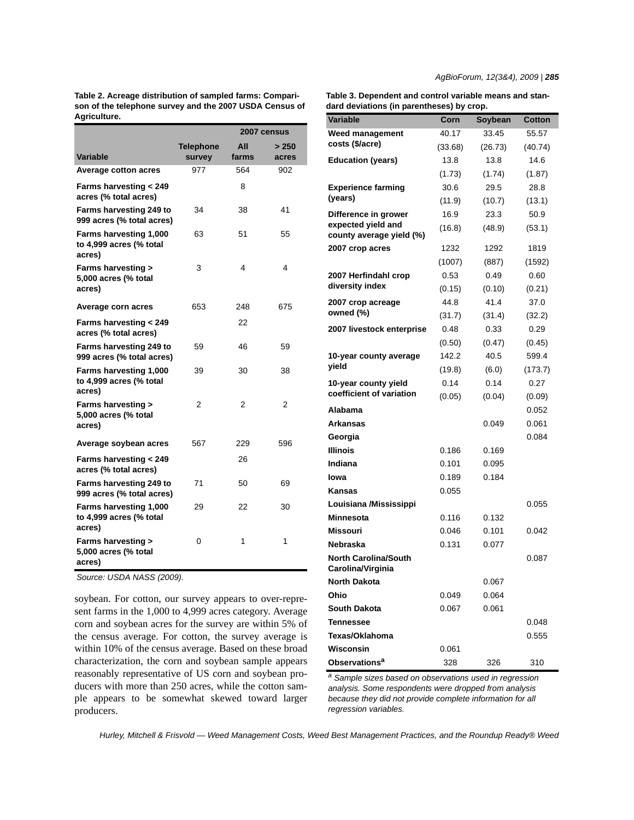**Table 2. Acreage distribution of sampled farms: Comparison of the telephone survey and the 2007 USDA Census of Agriculture.**

|                                                                |                  |       | 2007 census |
|----------------------------------------------------------------|------------------|-------|-------------|
|                                                                | <b>Telephone</b> | All   | > 250       |
| Variable                                                       | survey           | farms | acres       |
| <b>Average cotton acres</b>                                    | 977              | 564   | 902         |
| Farms harvesting < 249<br>acres (% total acres)                |                  | 8     |             |
| Farms harvesting 249 to<br>999 acres (% total acres)           | 34               | 38    | 41          |
| Farms harvesting 1,000<br>to 4,999 acres (% total<br>acres)    | 63               | 51    | 55          |
| <b>Farms harvesting &gt;</b><br>5,000 acres (% total<br>acres) | 3                | 4     | 4           |
| Average corn acres                                             | 653              | 248   | 675         |
| Farms harvesting < 249<br>acres (% total acres)                |                  | 22    |             |
| Farms harvesting 249 to<br>999 acres (% total acres)           | 59               | 46    | 59          |
| Farms harvesting 1,000<br>to 4,999 acres (% total<br>acres)    | 39               | 30    | 38          |
| Farms harvesting ><br>5,000 acres (% total<br>acres)           | 2                | 2     | 2           |
| Average soybean acres                                          | 567              | 229   | 596         |
| Farms harvesting < 249<br>acres (% total acres)                |                  | 26    |             |
| Farms harvesting 249 to<br>999 acres (% total acres)           | 71               | 50    | 69          |
| Farms harvesting 1,000<br>to 4,999 acres (% total<br>acres)    | 29               | 22    | 30          |
| <b>Farms harvesting &gt;</b><br>5,000 acres (% total<br>acres) | 0                | 1     | 1           |

*Source: USDA NASS (2009).*

soybean. For cotton, our survey appears to over-represent farms in the 1,000 to 4,999 acres category. Average corn and soybean acres for the survey are within 5% of the census average. For cotton, the survey average is within 10% of the census average. Based on these broad characterization, the corn and soybean sample appears reasonably representative of US corn and soybean producers with more than 250 acres, while the cotton sample appears to be somewhat skewed toward larger producers.

**Table 3. Dependent and control variable means and standard deviations (in parentheses) by crop.**

| uu u uu<br>riauviis (ili parell                  |         | ,ι υμ.  |         |
|--------------------------------------------------|---------|---------|---------|
| <b>Variable</b>                                  | Corn    | Soybean | Cotton  |
| Weed management                                  | 40.17   | 33.45   | 55.57   |
| costs (\$/acre)                                  | (33.68) | (26.73) | (40.74) |
| <b>Education (years)</b>                         | 13.8    | 13.8    | 14.6    |
|                                                  | (1.73)  | (1.74)  | (1.87)  |
| <b>Experience farming</b>                        | 30.6    | 29.5    | 28.8    |
| (years)                                          | (11.9)  | (10.7)  | (13.1)  |
| Difference in grower                             | 16.9    | 23.3    | 50.9    |
| expected yield and<br>county average yield (%)   | (16.8)  | (48.9)  | (53.1)  |
| 2007 crop acres                                  | 1232    | 1292    | 1819    |
|                                                  | (1007)  | (887)   | (1592)  |
| 2007 Herfindahl crop                             | 0.53    | 0.49    | 0.60    |
| diversity index                                  | (0.15)  | (0.10)  | (0.21)  |
| 2007 crop acreage                                | 44.8    | 41.4    | 37.0    |
| owned (%)                                        | (31.7)  | (31.4)  | (32.2)  |
| 2007 livestock enterprise                        | 0.48    | 0.33    | 0.29    |
|                                                  | (0.50)  | (0.47)  | (0.45)  |
| 10-year county average                           | 142.2   | 40.5    | 599.4   |
| yield                                            | (19.8)  | (6.0)   | (173.7) |
| 10-year county yield                             | 0.14    | 0.14    | 0.27    |
| coefficient of variation                         | (0.05)  | (0.04)  | (0.09)  |
| Alabama                                          |         |         | 0.052   |
| Arkansas                                         |         | 0.049   | 0.061   |
| Georgia                                          |         |         | 0.084   |
| Illinois                                         | 0.186   | 0.169   |         |
| Indiana                                          | 0.101   | 0.095   |         |
| Iowa                                             | 0.189   | 0.184   |         |
| Kansas                                           | 0.055   |         |         |
| Louisiana /Mississippi                           |         |         | 0.055   |
| <b>Minnesota</b>                                 | 0.116   | 0.132   |         |
| Missouri                                         | 0.046   | 0.101   | 0.042   |
| Nebraska                                         | 0.131   | 0.077   |         |
| <b>North Carolina/South</b><br>Carolina/Virginia |         |         | 0.087   |
| North Dakota                                     |         | 0.067   |         |
| Ohio                                             | 0.049   | 0.064   |         |
| South Dakota                                     | 0.067   | 0.061   |         |
| <b>Tennessee</b>                                 |         |         | 0.048   |
| Texas/Oklahoma                                   |         |         |         |
|                                                  |         |         | 0.555   |
| Wisconsin                                        | 0.061   |         |         |
| Observations <sup>a</sup>                        | 328     | 326     | 310     |

*a Sample sizes based on observations used in regression analysis. Some respondents were dropped from analysis because they did not provide complete information for all regression variables.*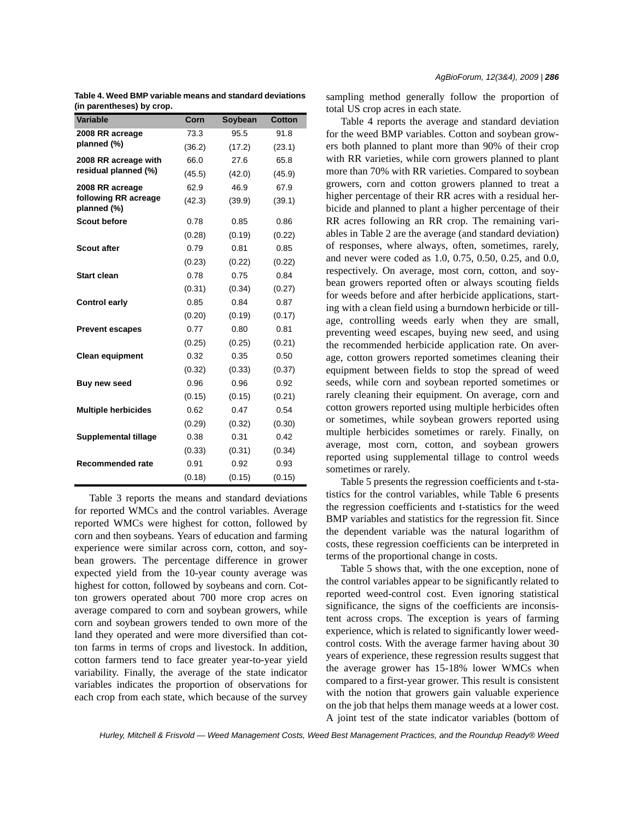|  | Table 4. Weed BMP variable means and standard deviations |  |  |  |  |  |
|--|----------------------------------------------------------|--|--|--|--|--|
|  | (in parentheses) by crop.                                |  |  |  |  |  |

| <b>Variable</b>                     | Corn   | Soybean | <b>Cotton</b> |
|-------------------------------------|--------|---------|---------------|
| 2008 RR acreage                     | 73.3   | 95.5    | 91.8          |
| planned (%)                         | (36.2) | (17.2)  | (23.1)        |
| 2008 RR acreage with                | 66.0   | 27.6    | 65.8          |
| residual planned (%)                | (45.5) | (42.0)  | (45.9)        |
| 2008 RR acreage                     | 62.9   | 46.9    | 67.9          |
| following RR acreage<br>planned (%) | (42.3) | (39.9)  | (39.1)        |
| <b>Scout before</b>                 | 0.78   | 0.85    | 0.86          |
|                                     | (0.28) | (0.19)  | (0.22)        |
| <b>Scout after</b>                  | 0.79   | 0.81    | 0.85          |
|                                     | (0.23) | (0.22)  | (0.22)        |
| <b>Start clean</b>                  | 0.78   | 0.75    | 0.84          |
|                                     | (0.31) | (0.34)  | (0.27)        |
| <b>Control early</b>                | 0.85   | 0.84    | 0.87          |
|                                     | (0.20) | (0.19)  | (0.17)        |
| <b>Prevent escapes</b>              | 0.77   | 0.80    | 0.81          |
|                                     | (0.25) | (0.25)  | (0.21)        |
| <b>Clean equipment</b>              | 0.32   | 0.35    | 0.50          |
|                                     | (0.32) | (0.33)  | (0.37)        |
| Buy new seed                        | 0.96   | 0.96    | 0.92          |
|                                     | (0.15) | (0.15)  | (0.21)        |
| <b>Multiple herbicides</b>          | 0.62   | 0.47    | 0.54          |
|                                     | (0.29) | (0.32)  | (0.30)        |
| <b>Supplemental tillage</b>         | 0.38   | 0.31    | 0.42          |
|                                     | (0.33) | (0.31)  | (0.34)        |
| <b>Recommended rate</b>             | 0.91   | 0.92    | 0.93          |
|                                     | (0.18) | (0.15)  | (0.15)        |

Table 3 reports the means and standard deviations for reported WMCs and the control variables. Average reported WMCs were highest for cotton, followed by corn and then soybeans. Years of education and farming experience were similar across corn, cotton, and soybean growers. The percentage difference in grower expected yield from the 10-year county average was highest for cotton, followed by soybeans and corn. Cotton growers operated about 700 more crop acres on average compared to corn and soybean growers, while corn and soybean growers tended to own more of the land they operated and were more diversified than cotton farms in terms of crops and livestock. In addition, cotton farmers tend to face greater year-to-year yield variability. Finally, the average of the state indicator variables indicates the proportion of observations for each crop from each state, which because of the survey sampling method generally follow the proportion of total US crop acres in each state.

Table 4 reports the average and standard deviation for the weed BMP variables. Cotton and soybean growers both planned to plant more than 90% of their crop with RR varieties, while corn growers planned to plant more than 70% with RR varieties. Compared to soybean growers, corn and cotton growers planned to treat a higher percentage of their RR acres with a residual herbicide and planned to plant a higher percentage of their RR acres following an RR crop. The remaining variables in Table 2 are the average (and standard deviation) of responses, where always, often, sometimes, rarely, and never were coded as 1.0, 0.75, 0.50, 0.25, and 0.0, respectively. On average, most corn, cotton, and soybean growers reported often or always scouting fields for weeds before and after herbicide applications, starting with a clean field using a burndown herbicide or tillage, controlling weeds early when they are small, preventing weed escapes, buying new seed, and using the recommended herbicide application rate. On average, cotton growers reported sometimes cleaning their equipment between fields to stop the spread of weed seeds, while corn and soybean reported sometimes or rarely cleaning their equipment. On average, corn and cotton growers reported using multiple herbicides often or sometimes, while soybean growers reported using multiple herbicides sometimes or rarely. Finally, on average, most corn, cotton, and soybean growers reported using supplemental tillage to control weeds sometimes or rarely.

Table 5 presents the regression coefficients and t-statistics for the control variables, while Table 6 presents the regression coefficients and t-statistics for the weed BMP variables and statistics for the regression fit. Since the dependent variable was the natural logarithm of costs, these regression coefficients can be interpreted in terms of the proportional change in costs.

Table 5 shows that, with the one exception, none of the control variables appear to be significantly related to reported weed-control cost. Even ignoring statistical significance, the signs of the coefficients are inconsistent across crops. The exception is years of farming experience, which is related to significantly lower weedcontrol costs. With the average farmer having about 30 years of experience, these regression results suggest that the average grower has 15-18% lower WMCs when compared to a first-year grower. This result is consistent with the notion that growers gain valuable experience on the job that helps them manage weeds at a lower cost. A joint test of the state indicator variables (bottom of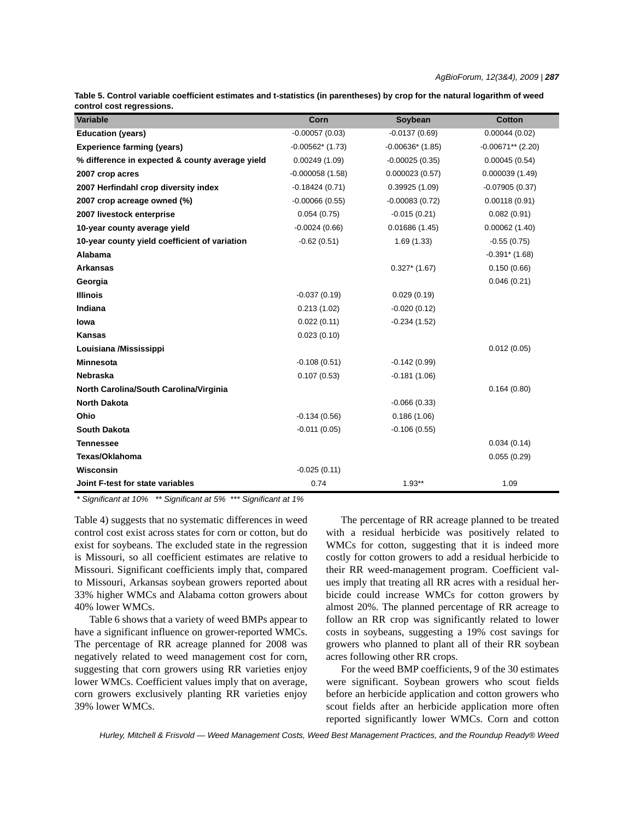| CUIIIIUI CUSL IEYIESSIUIIS.                     |                   |                    |                     |
|-------------------------------------------------|-------------------|--------------------|---------------------|
| Variable                                        | Corn              | Soybean            | <b>Cotton</b>       |
| <b>Education (years)</b>                        | $-0.00057(0.03)$  | $-0.0137(0.69)$    | 0.00044(0.02)       |
| <b>Experience farming (years)</b>               | $-0.00562*(1.73)$ | $-0.00636*$ (1.85) | $-0.00671**$ (2.20) |
| % difference in expected & county average yield | 0.00249(1.09)     | $-0.00025(0.35)$   | 0.00045(0.54)       |
| 2007 crop acres                                 | $-0.000058(1.58)$ | 0.000023(0.57)     | 0.000039(1.49)      |
| 2007 Herfindahl crop diversity index            | $-0.18424(0.71)$  | 0.39925(1.09)      | $-0.07905(0.37)$    |
| 2007 crop acreage owned (%)                     | $-0.00066(0.55)$  | $-0.00083(0.72)$   | 0.00118(0.91)       |
| 2007 livestock enterprise                       | 0.054(0.75)       | $-0.015(0.21)$     | 0.082(0.91)         |
| 10-year county average yield                    | $-0.0024(0.66)$   | 0.01686(1.45)      | 0.00062(1.40)       |
| 10-year county yield coefficient of variation   | $-0.62(0.51)$     | 1.69(1.33)         | $-0.55(0.75)$       |
| Alabama                                         |                   |                    | $-0.391*$ (1.68)    |
| <b>Arkansas</b>                                 |                   | $0.327*$ (1.67)    | 0.150(0.66)         |
| Georgia                                         |                   |                    | 0.046(0.21)         |
| <b>Illinois</b>                                 | $-0.037(0.19)$    | 0.029(0.19)        |                     |
| Indiana                                         | 0.213(1.02)       | $-0.020(0.12)$     |                     |
| lowa                                            | 0.022(0.11)       | $-0.234(1.52)$     |                     |
| <b>Kansas</b>                                   | 0.023(0.10)       |                    |                     |
| Louisiana /Mississippi                          |                   |                    | 0.012(0.05)         |
| <b>Minnesota</b>                                | $-0.108(0.51)$    | $-0.142(0.99)$     |                     |
| Nebraska                                        | 0.107(0.53)       | $-0.181(1.06)$     |                     |
| North Carolina/South Carolina/Virginia          |                   |                    | 0.164(0.80)         |
| <b>North Dakota</b>                             |                   | $-0.066(0.33)$     |                     |
| Ohio                                            | $-0.134(0.56)$    | 0.186(1.06)        |                     |
| <b>South Dakota</b>                             | $-0.011(0.05)$    | $-0.106(0.55)$     |                     |
| Tennessee                                       |                   |                    | 0.034(0.14)         |
| Texas/Oklahoma                                  |                   |                    | 0.055(0.29)         |
| Wisconsin                                       | $-0.025(0.11)$    |                    |                     |
| Joint F-test for state variables                | 0.74              | $1.93**$           | 1.09                |

**Table 5. Control variable coefficient estimates and t-statistics (in parentheses) by crop for the natural logarithm of weed control cost regressions.**

*\* Significant at 10% \*\* Significant at 5% \*\*\* Significant at 1%*

Table 4) suggests that no systematic differences in weed control cost exist across states for corn or cotton, but do exist for soybeans. The excluded state in the regression is Missouri, so all coefficient estimates are relative to Missouri. Significant coefficients imply that, compared to Missouri, Arkansas soybean growers reported about 33% higher WMCs and Alabama cotton growers about 40% lower WMCs.

Table 6 shows that a variety of weed BMPs appear to have a significant influence on grower-reported WMCs. The percentage of RR acreage planned for 2008 was negatively related to weed management cost for corn, suggesting that corn growers using RR varieties enjoy lower WMCs. Coefficient values imply that on average, corn growers exclusively planting RR varieties enjoy 39% lower WMCs.

The percentage of RR acreage planned to be treated with a residual herbicide was positively related to WMCs for cotton, suggesting that it is indeed more costly for cotton growers to add a residual herbicide to their RR weed-management program. Coefficient values imply that treating all RR acres with a residual herbicide could increase WMCs for cotton growers by almost 20%. The planned percentage of RR acreage to follow an RR crop was significantly related to lower costs in soybeans, suggesting a 19% cost savings for growers who planned to plant all of their RR soybean acres following other RR crops.

For the weed BMP coefficients, 9 of the 30 estimates were significant. Soybean growers who scout fields before an herbicide application and cotton growers who scout fields after an herbicide application more often reported significantly lower WMCs. Corn and cotton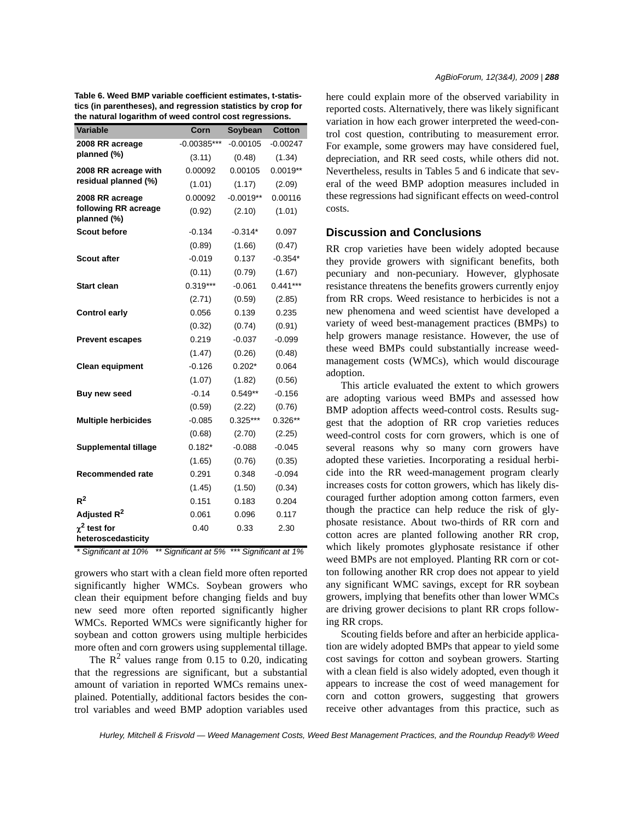| Variable                                | Corn          | Soybean     | Cotton     |
|-----------------------------------------|---------------|-------------|------------|
| 2008 RR acreage                         | $-0.00385***$ | $-0.00105$  | $-0.00247$ |
| planned (%)                             | (3.11)        | (0.48)      | (1.34)     |
| 2008 RR acreage with                    | 0.00092       | 0.00105     | $0.0019**$ |
| residual planned (%)                    | (1.01)        | (1.17)      | (2.09)     |
| 2008 RR acreage                         | 0.00092       | $-0.0019**$ | 0.00116    |
| following RR acreage<br>planned (%)     | (0.92)        | (2.10)      | (1.01)     |
| <b>Scout before</b>                     | $-0.134$      | $-0.314*$   | 0.097      |
|                                         | (0.89)        | (1.66)      | (0.47)     |
| <b>Scout after</b>                      | $-0.019$      | 0.137       | $-0.354*$  |
|                                         | (0.11)        | (0.79)      | (1.67)     |
| <b>Start clean</b>                      | $0.319***$    | $-0.061$    | $0.441***$ |
|                                         | (2.71)        | (0.59)      | (2.85)     |
| <b>Control early</b>                    | 0.056         | 0.139       | 0.235      |
|                                         | (0.32)        | (0.74)      | (0.91)     |
| <b>Prevent escapes</b>                  | 0.219         | $-0.037$    | $-0.099$   |
|                                         | (1.47)        | (0.26)      | (0.48)     |
| <b>Clean equipment</b>                  | $-0.126$      | $0.202*$    | 0.064      |
|                                         | (1.07)        | (1.82)      | (0.56)     |
| Buy new seed                            | $-0.14$       | $0.549**$   | $-0.156$   |
|                                         | (0.59)        | (2.22)      | (0.76)     |
| <b>Multiple herbicides</b>              | $-0.085$      | $0.325***$  | $0.326**$  |
|                                         | (0.68)        | (2.70)      | (2.25)     |
| <b>Supplemental tillage</b>             | $0.182*$      | $-0.088$    | $-0.045$   |
|                                         | (1.65)        | (0.76)      | (0.35)     |
| Recommended rate                        | 0.291         | 0.348       | $-0.094$   |
|                                         | (1.45)        | (1.50)      | (0.34)     |
| $R^2$                                   | 0.151         | 0.183       | 0.204      |
| Adjusted R <sup>2</sup>                 | 0.061         | 0.096       | 0.117      |
| $\chi^2$ test for<br>heteroscedasticity | 0.40          | 0.33        | 2.30       |

**Table 6. Weed BMP variable coefficient estimates, t-statistics (in parentheses), and regression statistics by crop for the natural logarithm of weed control cost regressions.**

#### *\* Significant at 10% \*\* Significant at 5% \*\*\* Significant at 1%*

growers who start with a clean field more often reported significantly higher WMCs. Soybean growers who clean their equipment before changing fields and buy new seed more often reported significantly higher WMCs. Reported WMCs were significantly higher for soybean and cotton growers using multiple herbicides more often and corn growers using supplemental tillage.

The  $\mathbb{R}^2$  values range from 0.15 to 0.20, indicating that the regressions are significant, but a substantial amount of variation in reported WMCs remains unexplained. Potentially, additional factors besides the control variables and weed BMP adoption variables used here could explain more of the observed variability in reported costs. Alternatively, there was likely significant variation in how each grower interpreted the weed-control cost question, contributing to measurement error. For example, some growers may have considered fuel, depreciation, and RR seed costs, while others did not. Nevertheless, results in Tables 5 and 6 indicate that several of the weed BMP adoption measures included in these regressions had significant effects on weed-control costs.

## **Discussion and Conclusions**

RR crop varieties have been widely adopted because they provide growers with significant benefits, both pecuniary and non-pecuniary. However, glyphosate resistance threatens the benefits growers currently enjoy from RR crops. Weed resistance to herbicides is not a new phenomena and weed scientist have developed a variety of weed best-management practices (BMPs) to help growers manage resistance. However, the use of these weed BMPs could substantially increase weedmanagement costs (WMCs), which would discourage adoption.

This article evaluated the extent to which growers are adopting various weed BMPs and assessed how BMP adoption affects weed-control costs. Results suggest that the adoption of RR crop varieties reduces weed-control costs for corn growers, which is one of several reasons why so many corn growers have adopted these varieties. Incorporating a residual herbicide into the RR weed-management program clearly increases costs for cotton growers, which has likely discouraged further adoption among cotton farmers, even though the practice can help reduce the risk of glyphosate resistance. About two-thirds of RR corn and cotton acres are planted following another RR crop, which likely promotes glyphosate resistance if other weed BMPs are not employed. Planting RR corn or cotton following another RR crop does not appear to yield any significant WMC savings, except for RR soybean growers, implying that benefits other than lower WMCs are driving grower decisions to plant RR crops following RR crops.

Scouting fields before and after an herbicide application are widely adopted BMPs that appear to yield some cost savings for cotton and soybean growers. Starting with a clean field is also widely adopted, even though it appears to increase the cost of weed management for corn and cotton growers, suggesting that growers receive other advantages from this practice, such as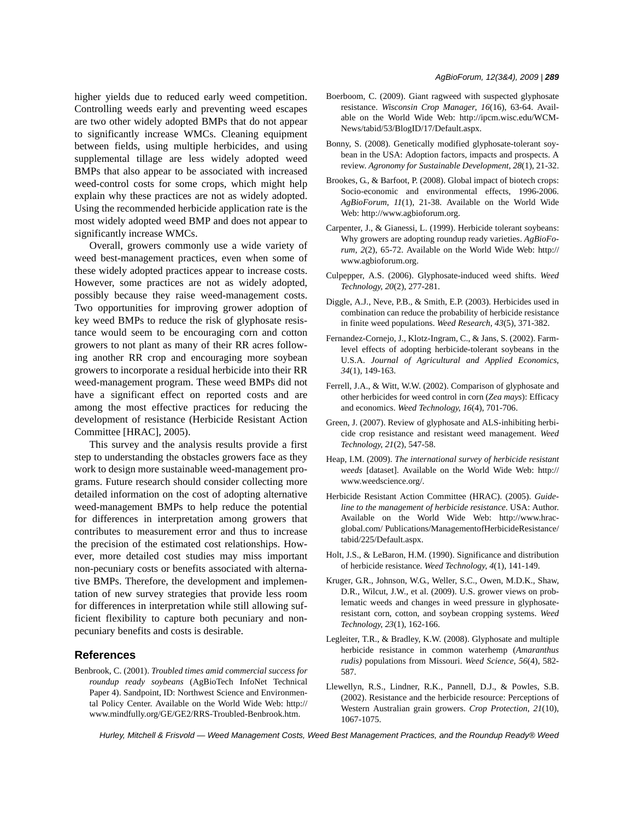higher yields due to reduced early weed competition. Controlling weeds early and preventing weed escapes are two other widely adopted BMPs that do not appear to significantly increase WMCs. Cleaning equipment between fields, using multiple herbicides, and using supplemental tillage are less widely adopted weed BMPs that also appear to be associated with increased weed-control costs for some crops, which might help explain why these practices are not as widely adopted. Using the recommended herbicide application rate is the most widely adopted weed BMP and does not appear to significantly increase WMCs.

Overall, growers commonly use a wide variety of weed best-management practices, even when some of these widely adopted practices appear to increase costs. However, some practices are not as widely adopted, possibly because they raise weed-management costs. Two opportunities for improving grower adoption of key weed BMPs to reduce the risk of glyphosate resistance would seem to be encouraging corn and cotton growers to not plant as many of their RR acres following another RR crop and encouraging more soybean growers to incorporate a residual herbicide into their RR weed-management program. These weed BMPs did not have a significant effect on reported costs and are among the most effective practices for reducing the development of resistance (Herbicide Resistant Action Committee [HRAC], 2005).

This survey and the analysis results provide a first step to understanding the obstacles growers face as they work to design more sustainable weed-management programs. Future research should consider collecting more detailed information on the cost of adopting alternative weed-management BMPs to help reduce the potential for differences in interpretation among growers that contributes to measurement error and thus to increase the precision of the estimated cost relationships. However, more detailed cost studies may miss important non-pecuniary costs or benefits associated with alternative BMPs. Therefore, the development and implementation of new survey strategies that provide less room for differences in interpretation while still allowing sufficient flexibility to capture both pecuniary and nonpecuniary benefits and costs is desirable.

## **References**

Benbrook, C. (2001). *Troubled times amid commercial success for roundup ready soybeans* (AgBioTech InfoNet Technical Paper 4). Sandpoint, ID: Northwest Science and Environmental Policy Center. Available on the World Wide Web: http:// www.mindfully.org/GE/GE2/RRS-Troubled-Benbrook.htm.

- Boerboom, C. (2009). Giant ragweed with suspected glyphosate resistance. *Wisconsin Crop Manager*, *16*(16), 63-64. Available on the World Wide Web: http://ipcm.wisc.edu/WCM-News/tabid/53/BlogID/17/Default.aspx.
- Bonny, S. (2008). Genetically modified glyphosate-tolerant soybean in the USA: Adoption factors, impacts and prospects. A review. *Agronomy for Sustainable Development*, *28*(1), 21-32.
- Brookes, G., & Barfoot, P. (2008). Global impact of biotech crops: Socio-economic and environmental effects, 1996-2006. *AgBioForum*, *11*(1), 21-38. Available on the World Wide Web: http://www.agbioforum.org.
- Carpenter, J., & Gianessi, L. (1999). Herbicide tolerant soybeans: Why growers are adopting roundup ready varieties. *AgBioForum*, *2*(2), 65-72. Available on the World Wide Web: http:// www.agbioforum.org.
- Culpepper, A.S. (2006). Glyphosate-induced weed shifts. *Weed Technology*, *20*(2), 277-281.
- Diggle, A.J., Neve, P.B., & Smith, E.P. (2003). Herbicides used in combination can reduce the probability of herbicide resistance in finite weed populations. *Weed Research*, *43*(5), 371-382.
- Fernandez-Cornejo, J., Klotz-Ingram, C., & Jans, S. (2002). Farmlevel effects of adopting herbicide-tolerant soybeans in the U.S.A. *Journal of Agricultural and Applied Economics*, *34*(1), 149-163.
- Ferrell, J.A., & Witt, W.W. (2002). Comparison of glyphosate and other herbicides for weed control in corn (*Zea mays*): Efficacy and economics. *Weed Technology*, *16*(4), 701-706.
- Green, J. (2007). Review of glyphosate and ALS-inhibiting herbicide crop resistance and resistant weed management. *Weed Technology*, *21*(2), 547-58.
- Heap, I.M. (2009). *The international survey of herbicide resistant weeds* [dataset]. Available on the World Wide Web: http:// www.weedscience.org/.
- Herbicide Resistant Action Committee (HRAC). (2005). *Guideline to the management of herbicide resistance*. USA: Author. Available on the World Wide Web: http://www.hracglobal.com/ Publications/ManagementofHerbicideResistance/ tabid/225/Default.aspx.
- Holt, J.S., & LeBaron, H.M. (1990). Significance and distribution of herbicide resistance. *Weed Technology*, *4*(1), 141-149.
- Kruger, G.R., Johnson, W.G., Weller, S.C., Owen, M.D.K., Shaw, D.R., Wilcut, J.W., et al. (2009). U.S. grower views on problematic weeds and changes in weed pressure in glyphosateresistant corn, cotton, and soybean cropping systems. *Weed Technology*, *23*(1), 162-166.
- Legleiter, T.R., & Bradley, K.W. (2008). Glyphosate and multiple herbicide resistance in common waterhemp (*Amaranthus rudis)* populations from Missouri. *Weed Science*, *56*(4), 582- 587.
- Llewellyn, R.S., Lindner, R.K., Pannell, D.J., & Powles, S.B. (2002). Resistance and the herbicide resource: Perceptions of Western Australian grain growers. *Crop Protection*, *21*(10), 1067-1075.